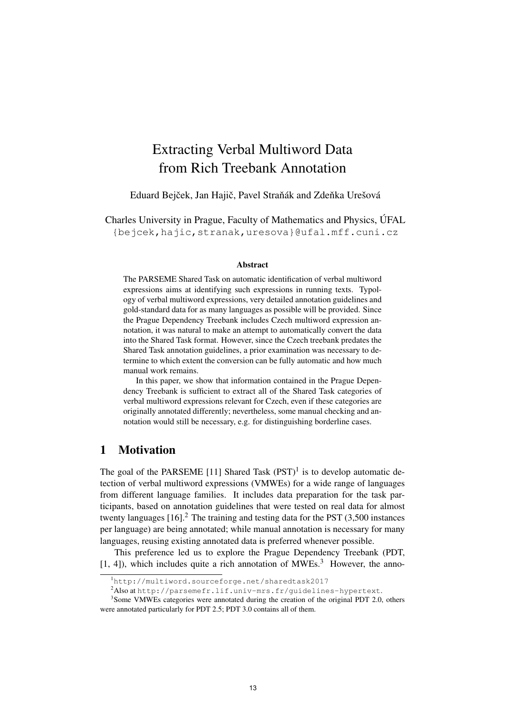# Extracting Verbal Multiword Data from Rich Treebank Annotation

Eduard Bejček, Jan Hajič, Pavel Straňák and Zdeňka Urešová

Charles University in Prague, Faculty of Mathematics and Physics, ÚFAL {bejcek,hajic,stranak,uresova}@ufal.mff.cuni.cz

#### Abstract

The PARSEME Shared Task on automatic identification of verbal multiword expressions aims at identifying such expressions in running texts. Typology of verbal multiword expressions, very detailed annotation guidelines and gold-standard data for as many languages as possible will be provided. Since the Prague Dependency Treebank includes Czech multiword expression annotation, it was natural to make an attempt to automatically convert the data into the Shared Task format. However, since the Czech treebank predates the Shared Task annotation guidelines, a prior examination was necessary to determine to which extent the conversion can be fully automatic and how much manual work remains.

In this paper, we show that information contained in the Prague Dependency Treebank is sufficient to extract all of the Shared Task categories of verbal multiword expressions relevant for Czech, even if these categories are originally annotated differently; nevertheless, some manual checking and annotation would still be necessary, e.g. for distinguishing borderline cases.

## 1 Motivation

The goal of the PARSEME [11] Shared Task  $(PST)^1$  is to develop automatic detection of verbal multiword expressions (VMWEs) for a wide range of languages from different language families. It includes data preparation for the task participants, based on annotation guidelines that were tested on real data for almost twenty languages  $[16]$ <sup>2</sup>. The training and testing data for the PST  $(3,500)$  instances per language) are being annotated; while manual annotation is necessary for many languages, reusing existing annotated data is preferred whenever possible.

This preference led us to explore the Prague Dependency Treebank (PDT, [1, 4]), which includes quite a rich annotation of MWEs.<sup>3</sup> However, the anno-

<sup>1</sup>http://multiword.sourceforge.net/sharedtask2017

<sup>2</sup>Also at http://parsemefr.lif.univ-mrs.fr/guidelines-hypertext.

<sup>&</sup>lt;sup>3</sup>Some VMWEs categories were annotated during the creation of the original PDT 2.0, others were annotated particularly for PDT 2.5; PDT 3.0 contains all of them.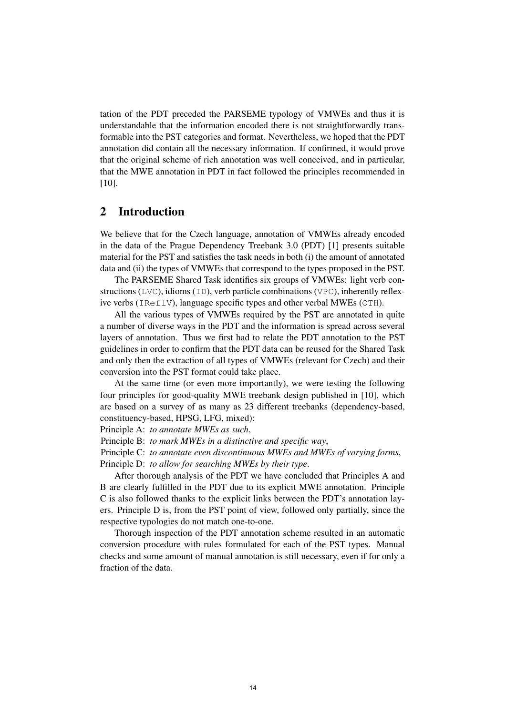tation of the PDT preceded the PARSEME typology of VMWEs and thus it is understandable that the information encoded there is not straightforwardly transformable into the PST categories and format. Nevertheless, we hoped that the PDT annotation did contain all the necessary information. If confirmed, it would prove that the original scheme of rich annotation was well conceived, and in particular, that the MWE annotation in PDT in fact followed the principles recommended in [10].

# 2 Introduction

We believe that for the Czech language, annotation of VMWEs already encoded in the data of the Prague Dependency Treebank 3.0 (PDT) [1] presents suitable material for the PST and satisfies the task needs in both (i) the amount of annotated data and (ii) the types of VMWEs that correspond to the types proposed in the PST.

The PARSEME Shared Task identifies six groups of VMWEs: light verb constructions (LVC), idioms (ID), verb particle combinations (VPC), inherently reflexive verbs (IReflV), language specific types and other verbal MWEs (OTH).

All the various types of VMWEs required by the PST are annotated in quite a number of diverse ways in the PDT and the information is spread across several layers of annotation. Thus we first had to relate the PDT annotation to the PST guidelines in order to confirm that the PDT data can be reused for the Shared Task and only then the extraction of all types of VMWEs (relevant for Czech) and their conversion into the PST format could take place.

At the same time (or even more importantly), we were testing the following four principles for good-quality MWE treebank design published in [10], which are based on a survey of as many as 23 different treebanks (dependency-based, constituency-based, HPSG, LFG, mixed):

Principle A: *to annotate MWEs as such*,

Principle B: *to mark MWEs in a distinctive and specific way*,

Principle C: *to annotate even discontinuous MWEs and MWEs of varying forms*,

Principle D: *to allow for searching MWEs by their type*.

After thorough analysis of the PDT we have concluded that Principles A and B are clearly fulfilled in the PDT due to its explicit MWE annotation. Principle C is also followed thanks to the explicit links between the PDT's annotation layers. Principle D is, from the PST point of view, followed only partially, since the respective typologies do not match one-to-one.

Thorough inspection of the PDT annotation scheme resulted in an automatic conversion procedure with rules formulated for each of the PST types. Manual checks and some amount of manual annotation is still necessary, even if for only a fraction of the data.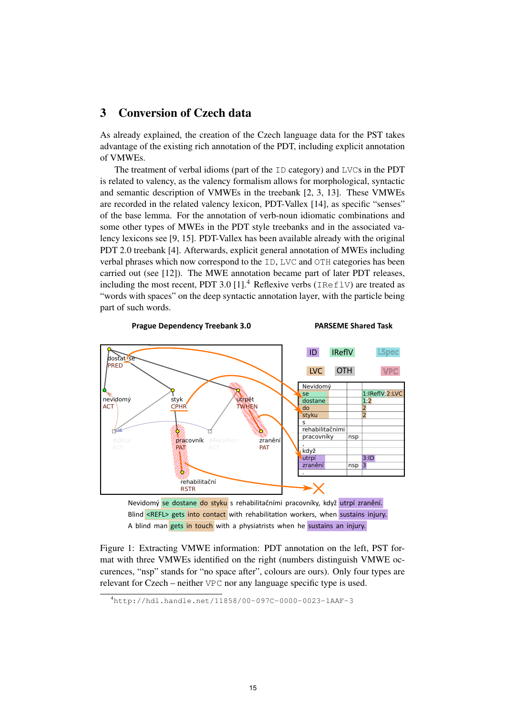# 3 Conversion of Czech data

As already explained, the creation of the Czech language data for the PST takes advantage of the existing rich annotation of the PDT, including explicit annotation of VMWEs.

The treatment of verbal idioms (part of the ID category) and LVCs in the PDT is related to valency, as the valency formalism allows for morphological, syntactic and semantic description of VMWEs in the treebank [2, 3, 13]. These VMWEs are recorded in the related valency lexicon, PDT-Vallex [14], as specific "senses" of the base lemma. For the annotation of verb-noun idiomatic combinations and some other types of MWEs in the PDT style treebanks and in the associated valency lexicons see [9, 15]. PDT-Vallex has been available already with the original PDT 2.0 treebank [4]. Afterwards, explicit general annotation of MWEs including verbal phrases which now correspond to the ID, LVC and OTH categories has been carried out (see [12]). The MWE annotation became part of later PDT releases, including the most recent, PDT 3.0 [1].<sup>4</sup> Reflexive verbs (IReflV) are treated as "words with spaces" on the deep syntactic annotation layer, with the particle being part of such words.



Nevidomý se dostane do styku s rehabilitačními pracovníky, když utrpí zranění. Blind <REFL> gets into contact with rehabilitation workers, when sustains injury. A blind man gets in touch with a physiatrists when he sustains an injury.

Figure 1: Extracting VMWE information: PDT annotation on the left, PST format with three VMWEs identified on the right (numbers distinguish VMWE occurences, "nsp" stands for "no space after", colours are ours). Only four types are relevant for Czech – neither VPC nor any language specific type is used.

<sup>4</sup>http://hdl.handle.net/11858/00-097C-0000-0023-1AAF-3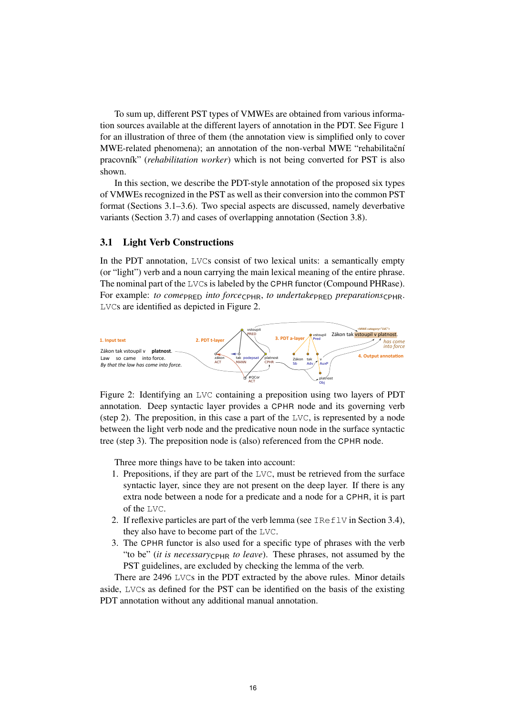To sum up, different PST types of VMWEs are obtained from various information sources available at the different layers of annotation in the PDT. See Figure 1 for an illustration of three of them (the annotation view is simplified only to cover MWE-related phenomena); an annotation of the non-verbal MWE "rehabilitační pracovník" (*rehabilitation worker*) which is not being converted for PST is also shown.

In this section, we describe the PDT-style annotation of the proposed six types of VMWEs recognized in the PST as well as their conversion into the common PST format (Sections 3.1–3.6). Two special aspects are discussed, namely deverbative variants (Section 3.7) and cases of overlapping annotation (Section 3.8).

## 3.1 Light Verb Constructions

In the PDT annotation, LVCs consist of two lexical units: a semantically empty (or "light") verb and a noun carrying the main lexical meaning of the entire phrase. The nominal part of the LVCs is labeled by the CPHR functor (Compound PHRase). For example: *to come*<sub>RED</sub> *into force*<sub>CPHR</sub>, *to undertake*<sub>PRED</sub> *preparations*<sub>CPHR</sub>. LVCs are identified as depicted in Figure 2.



Figure 2: Identifying an LVC containing a preposition using two layers of PDT annotation. Deep syntactic layer provides a CPHR node and its governing verb (step 2). The preposition, in this case a part of the LVC, is represented by a node between the light verb node and the predicative noun node in the surface syntactic tree (step 3). The preposition node is (also) referenced from the CPHR node.

Three more things have to be taken into account:

- 1. Prepositions, if they are part of the  $LVC$ , must be retrieved from the surface syntactic layer, since they are not present on the deep layer. If there is any extra node between a node for a predicate and a node for a CPHR, it is part of the LVC.
- 2. If reflexive particles are part of the verb lemma (see  $IRE1V$  in Section 3.4), they also have to become part of the LVC.
- 3. The CPHR functor is also used for a specific type of phrases with the verb "to be" *(it is necessary*<sub>CPHR</sub> *to leave)*. These phrases, not assumed by the PST guidelines, are excluded by checking the lemma of the verb.

There are 2496 LVCs in the PDT extracted by the above rules. Minor details aside, LVCs as defined for the PST can be identified on the basis of the existing PDT annotation without any additional manual annotation.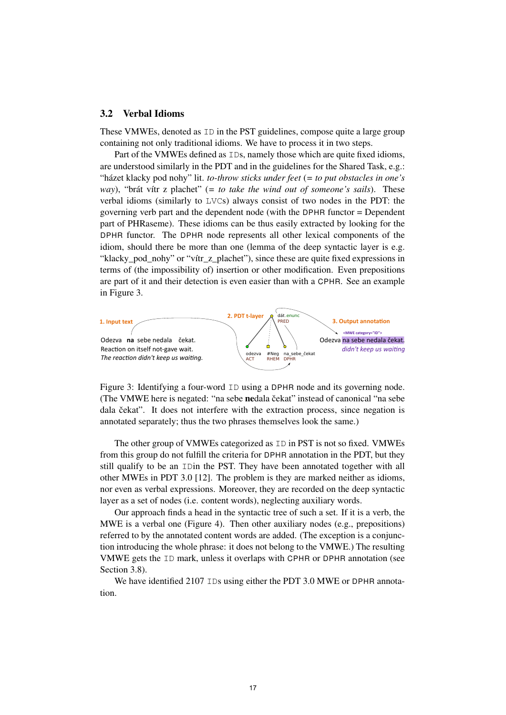## 3.2 Verbal Idioms

These VMWEs, denoted as ID in the PST guidelines, compose quite a large group containing not only traditional idioms. We have to process it in two steps.

Part of the VMWEs defined as IDs, namely those which are quite fixed idioms, are understood similarly in the PDT and in the guidelines for the Shared Task, e.g.: "házet klacky pod nohy" lit. *to-throw sticks under feet* (*= to put obstacles in one's way*), "brát vítr z plachet" (*= to take the wind out of someone's sails*). These verbal idioms (similarly to LVCs) always consist of two nodes in the PDT: the governing verb part and the dependent node (with the DPHR functor = Dependent part of PHRaseme). These idioms can be thus easily extracted by looking for the DPHR functor. The DPHR node represents all other lexical components of the idiom, should there be more than one (lemma of the deep syntactic layer is e.g. "klacky pod nohy" or "vítr z plachet"), since these are quite fixed expressions in terms of (the impossibility of) insertion or other modification. Even prepositions are part of it and their detection is even easier than with a CPHR. See an example in Figure 3.



Figure 3: Identifying a four-word ID using a DPHR node and its governing node. (The VMWE here is negated: "na sebe nedala čekat" instead of canonical "na sebe dala čekat". It does not interfere with the extraction process, since negation is annotated separately; thus the two phrases themselves look the same.)

The other group of VMWEs categorized as ID in PST is not so fixed. VMWEs from this group do not fulfill the criteria for DPHR annotation in the PDT, but they still qualify to be an IDin the PST. They have been annotated together with all other MWEs in PDT 3.0 [12]. The problem is they are marked neither as idioms, nor even as verbal expressions. Moreover, they are recorded on the deep syntactic layer as a set of nodes (i.e. content words), neglecting auxiliary words.

Our approach finds a head in the syntactic tree of such a set. If it is a verb, the MWE is a verbal one (Figure 4). Then other auxiliary nodes (e.g., prepositions) referred to by the annotated content words are added. (The exception is a conjunction introducing the whole phrase: it does not belong to the VMWE.) The resulting VMWE gets the ID mark, unless it overlaps with CPHR or DPHR annotation (see Section 3.8).

We have identified 2107 IDs using either the PDT 3.0 MWE or DPHR annotation.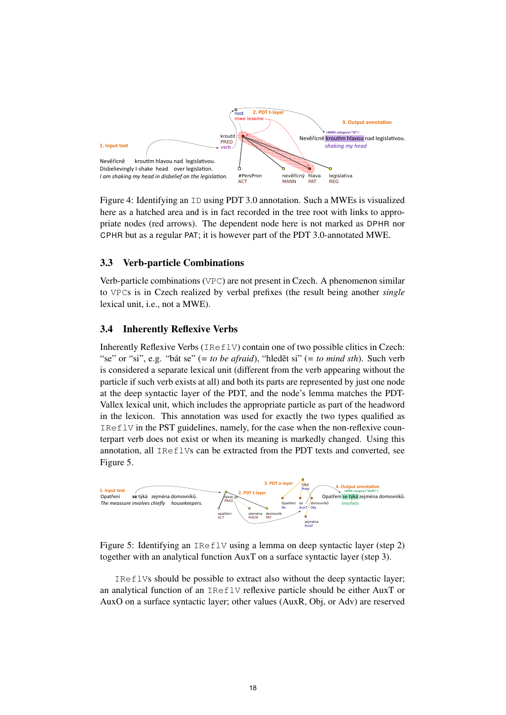

Figure 4: Identifying an ID using PDT 3.0 annotation. Such a MWEs is visualized here as a hatched area and is in fact recorded in the tree root with links to appropriate nodes (red arrows). The dependent node here is not marked as DPHR nor CPHR but as a regular PAT; it is however part of the PDT 3.0-annotated MWE.

## 3.3 Verb-particle Combinations

Verb-particle combinations (VPC) are not present in Czech. A phenomenon similar to VPCs is in Czech realized by verbal prefixes (the result being another *single* lexical unit, i.e., not a MWE).

## 3.4 Inherently Reflexive Verbs

Inherently Reflexive Verbs (IReflV) contain one of two possible clitics in Czech: "se" or "si", e.g. "bát se" (*= to be afraid*), "hledět si" (*= to mind sth*). Such verb is considered a separate lexical unit (different from the verb appearing without the particle if such verb exists at all) and both its parts are represented by just one node at the deep syntactic layer of the PDT, and the node's lemma matches the PDT-Vallex lexical unit, which includes the appropriate particle as part of the headword in the lexicon. This annotation was used for exactly the two types qualified as IReflV in the PST guidelines, namely, for the case when the non-reflexive counterpart verb does not exist or when its meaning is markedly changed. Using this annotation, all IReflVs can be extracted from the PDT texts and converted, see Figure 5.



Figure 5: Identifying an IReflV using a lemma on deep syntactic layer (step 2) together with an analytical function AuxT on a surface syntactic layer (step 3).

IReflVs should be possible to extract also without the deep syntactic layer; an analytical function of an IReflV reflexive particle should be either AuxT or AuxO on a surface syntactic layer; other values (AuxR, Obj, or Adv) are reserved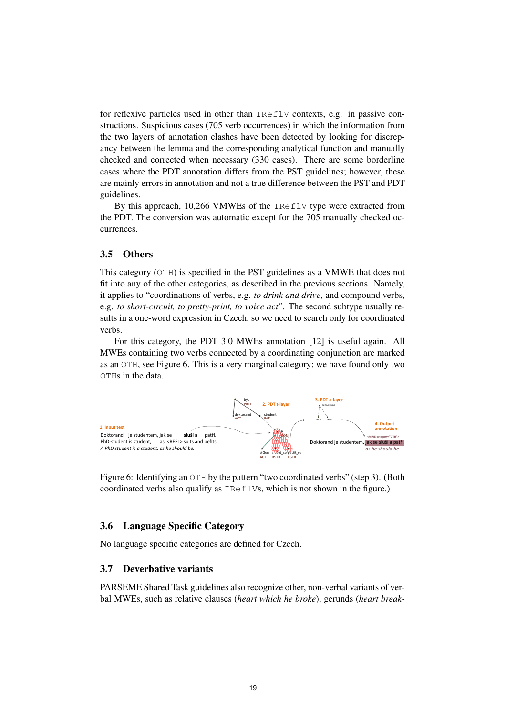for reflexive particles used in other than IReflV contexts, e.g. in passive constructions. Suspicious cases (705 verb occurrences) in which the information from the two layers of annotation clashes have been detected by looking for discrepancy between the lemma and the corresponding analytical function and manually checked and corrected when necessary (330 cases). There are some borderline cases where the PDT annotation differs from the PST guidelines; however, these are mainly errors in annotation and not a true difference between the PST and PDT guidelines.

By this approach, 10,266 VMWEs of the IReflV type were extracted from the PDT. The conversion was automatic except for the 705 manually checked occurrences.

## 3.5 Others

This category (OTH) is specified in the PST guidelines as a VMWE that does not fit into any of the other categories, as described in the previous sections. Namely, it applies to "coordinations of verbs, e.g. *to drink and drive*, and compound verbs, e.g. *to short-circuit, to pretty-print, to voice act*". The second subtype usually results in a one-word expression in Czech, so we need to search only for coordinated verbs.

For this category, the PDT 3.0 MWEs annotation [12] is useful again. All MWEs containing two verbs connected by a coordinating conjunction are marked as an OTH, see Figure 6. This is a very marginal category; we have found only two OTHs in the data.



Figure 6: Identifying an OTH by the pattern "two coordinated verbs" (step 3). (Both coordinated verbs also qualify as IReflVs, which is not shown in the figure.)

## 3.6 Language Specific Category

No language specific categories are defined for Czech.

## 3.7 Deverbative variants

PARSEME Shared Task guidelines also recognize other, non-verbal variants of verbal MWEs, such as relative clauses (*heart which he broke*), gerunds (*heart break-*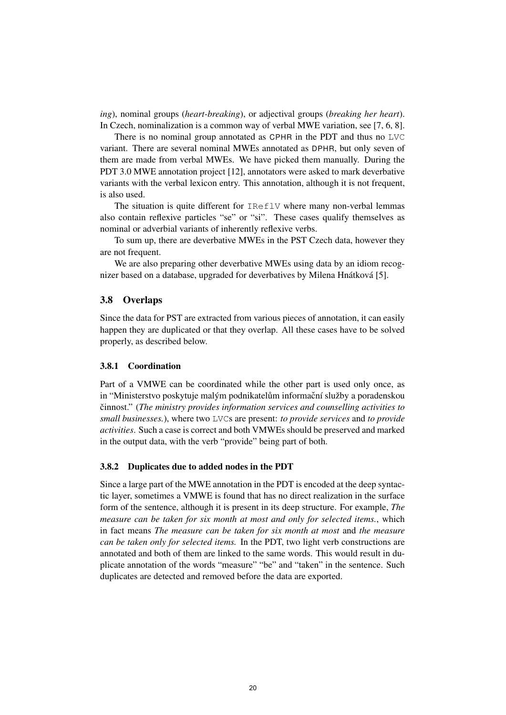*ing*), nominal groups (*heart-breaking*), or adjectival groups (*breaking her heart*). In Czech, nominalization is a common way of verbal MWE variation, see [7, 6, 8].

There is no nominal group annotated as CPHR in the PDT and thus no LVC variant. There are several nominal MWEs annotated as DPHR, but only seven of them are made from verbal MWEs. We have picked them manually. During the PDT 3.0 MWE annotation project [12], annotators were asked to mark deverbative variants with the verbal lexicon entry. This annotation, although it is not frequent, is also used.

The situation is quite different for IReflV where many non-verbal lemmas also contain reflexive particles "se" or "si". These cases qualify themselves as nominal or adverbial variants of inherently reflexive verbs.

To sum up, there are deverbative MWEs in the PST Czech data, however they are not frequent.

We are also preparing other deverbative MWEs using data by an idiom recognizer based on a database, upgraded for deverbatives by Milena Hnátková [5].

## 3.8 Overlaps

Since the data for PST are extracted from various pieces of annotation, it can easily happen they are duplicated or that they overlap. All these cases have to be solved properly, as described below.

## 3.8.1 Coordination

Part of a VMWE can be coordinated while the other part is used only once, as in "Ministerstvo poskytuje malým podnikatelům informační služby a poradenskou cinnost." ( ˇ *The ministry provides information services and counselling activities to small businesses.*), where two LVCs are present: *to provide services* and *to provide activities*. Such a case is correct and both VMWEs should be preserved and marked in the output data, with the verb "provide" being part of both.

#### 3.8.2 Duplicates due to added nodes in the PDT

Since a large part of the MWE annotation in the PDT is encoded at the deep syntactic layer, sometimes a VMWE is found that has no direct realization in the surface form of the sentence, although it is present in its deep structure. For example, *The measure can be taken for six month at most and only for selected items.*, which in fact means *The measure can be taken for six month at most* and *the measure can be taken only for selected items.* In the PDT, two light verb constructions are annotated and both of them are linked to the same words. This would result in duplicate annotation of the words "measure" "be" and "taken" in the sentence. Such duplicates are detected and removed before the data are exported.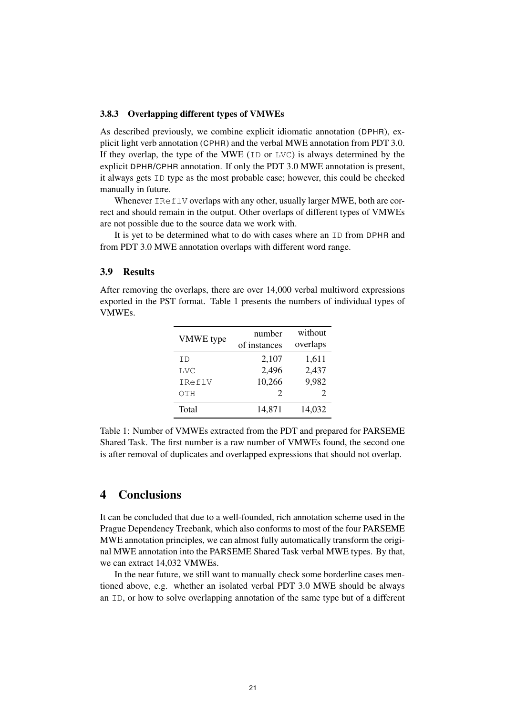#### 3.8.3 Overlapping different types of VMWEs

As described previously, we combine explicit idiomatic annotation (DPHR), explicit light verb annotation (CPHR) and the verbal MWE annotation from PDT 3.0. If they overlap, the type of the MWE (ID or LVC) is always determined by the explicit DPHR/CPHR annotation. If only the PDT 3.0 MWE annotation is present, it always gets ID type as the most probable case; however, this could be checked manually in future.

Whenever IReflV overlaps with any other, usually larger MWE, both are correct and should remain in the output. Other overlaps of different types of VMWEs are not possible due to the source data we work with.

It is yet to be determined what to do with cases where an ID from DPHR and from PDT 3.0 MWE annotation overlaps with different word range.

#### 3.9 Results

After removing the overlaps, there are over 14,000 verbal multiword expressions exported in the PST format. Table 1 presents the numbers of individual types of VMWEs.

| <b>VMWE</b> type | number<br>of instances      | without<br>overlaps         |
|------------------|-----------------------------|-----------------------------|
| ΙD               | 2,107                       | 1,611                       |
| <b>LVC</b>       | 2,496                       | 2,437                       |
| IReflV           | 10,266                      | 9,982                       |
| OTH              | $\mathcal{D}_{\mathcal{L}}$ | $\mathcal{D}_{\mathcal{L}}$ |
| Total            | 14,871                      | 14,032                      |

Table 1: Number of VMWEs extracted from the PDT and prepared for PARSEME Shared Task. The first number is a raw number of VMWEs found, the second one is after removal of duplicates and overlapped expressions that should not overlap.

# 4 Conclusions

It can be concluded that due to a well-founded, rich annotation scheme used in the Prague Dependency Treebank, which also conforms to most of the four PARSEME MWE annotation principles, we can almost fully automatically transform the original MWE annotation into the PARSEME Shared Task verbal MWE types. By that, we can extract 14,032 VMWEs.

In the near future, we still want to manually check some borderline cases mentioned above, e.g. whether an isolated verbal PDT 3.0 MWE should be always an ID, or how to solve overlapping annotation of the same type but of a different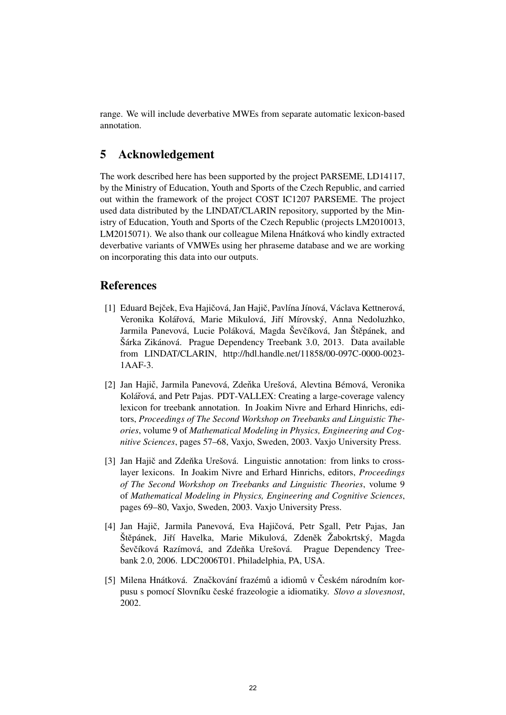range. We will include deverbative MWEs from separate automatic lexicon-based annotation.

# 5 Acknowledgement

The work described here has been supported by the project PARSEME, LD14117, by the Ministry of Education, Youth and Sports of the Czech Republic, and carried out within the framework of the project COST IC1207 PARSEME. The project used data distributed by the LINDAT/CLARIN repository, supported by the Ministry of Education, Youth and Sports of the Czech Republic (projects LM2010013, LM2015071). We also thank our colleague Milena Hnátková who kindly extracted deverbative variants of VMWEs using her phraseme database and we are working on incorporating this data into our outputs.

## References

- [1] Eduard Bejček, Eva Hajičová, Jan Hajič, Pavlína Jínová, Václava Kettnerová, Veronika Kolářová, Marie Mikulová, Jiří Mírovský, Anna Nedoluzhko, Jarmila Panevová, Lucie Poláková, Magda Ševčíková, Jan Štěpánek, and Šárka Zikánová. Prague Dependency Treebank 3.0, 2013. Data available from LINDAT/CLARIN, http://hdl.handle.net/11858/00-097C-0000-0023- 1AAF-3.
- [2] Jan Hajič, Jarmila Panevová, Zdeňka Urešová, Alevtina Bémová, Veronika Kolářová, and Petr Pajas. PDT-VALLEX: Creating a large-coverage valency lexicon for treebank annotation. In Joakim Nivre and Erhard Hinrichs, editors, *Proceedings of The Second Workshop on Treebanks and Linguistic Theories*, volume 9 of *Mathematical Modeling in Physics, Engineering and Cognitive Sciences*, pages 57–68, Vaxjo, Sweden, 2003. Vaxjo University Press.
- [3] Jan Hajič and Zdeňka Urešová. Linguistic annotation: from links to crosslayer lexicons. In Joakim Nivre and Erhard Hinrichs, editors, *Proceedings of The Second Workshop on Treebanks and Linguistic Theories*, volume 9 of *Mathematical Modeling in Physics, Engineering and Cognitive Sciences*, pages 69–80, Vaxjo, Sweden, 2003. Vaxjo University Press.
- [4] Jan Hajič, Jarmila Panevová, Eva Hajičová, Petr Sgall, Petr Pajas, Jan Štěpánek, Jiří Havelka, Marie Mikulová, Zdeněk Žabokrtský, Magda Ševčíková Razímová, and Zdeňka Urešová. Prague Dependency Treebank 2.0, 2006. LDC2006T01. Philadelphia, PA, USA.
- [5] Milena Hnátková. Značkování frazémů a idiomů v Českém národním korpusu s pomocí Slovníku české frazeologie a idiomatiky. Slovo a slovesnost, 2002.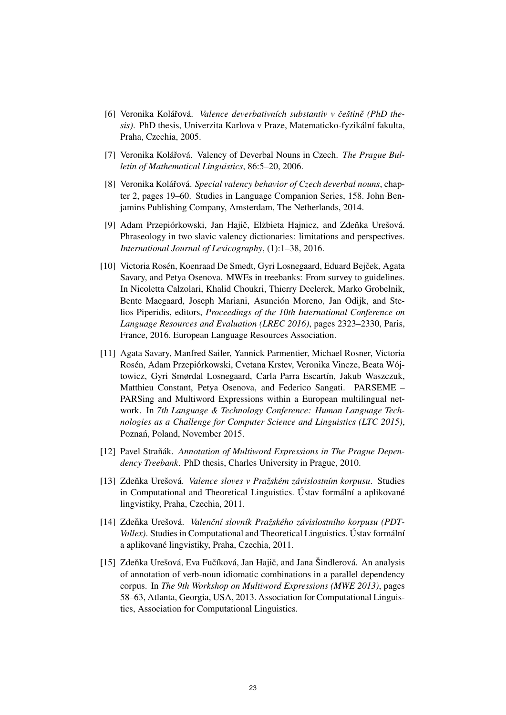- [6] Veronika Kolářová. *Valence deverbativních substantiv v češtině (PhD thesis)*. PhD thesis, Univerzita Karlova v Praze, Matematicko-fyzikální fakulta, Praha, Czechia, 2005.
- [7] Veronika Kolářová. Valency of Deverbal Nouns in Czech. *The Prague Bulletin of Mathematical Linguistics*, 86:5–20, 2006.
- [8] Veronika Kolářová. *Special valency behavior of Czech deverbal nouns*, chapter 2, pages 19–60. Studies in Language Companion Series, 158. John Benjamins Publishing Company, Amsterdam, The Netherlands, 2014.
- [9] Adam Przepiórkowski, Jan Hajič, Elżbieta Hajnicz, and Zdeňka Urešová. Phraseology in two slavic valency dictionaries: limitations and perspectives. *International Journal of Lexicography*, (1):1–38, 2016.
- [10] Victoria Rosén, Koenraad De Smedt, Gyri Losnegaard, Eduard Bejcek, Agata ˇ Savary, and Petya Osenova. MWEs in treebanks: From survey to guidelines. In Nicoletta Calzolari, Khalid Choukri, Thierry Declerck, Marko Grobelnik, Bente Maegaard, Joseph Mariani, Asunción Moreno, Jan Odijk, and Stelios Piperidis, editors, *Proceedings of the 10th International Conference on Language Resources and Evaluation (LREC 2016)*, pages 2323–2330, Paris, France, 2016. European Language Resources Association.
- [11] Agata Savary, Manfred Sailer, Yannick Parmentier, Michael Rosner, Victoria Rosén, Adam Przepiórkowski, Cvetana Krstev, Veronika Vincze, Beata Wójtowicz, Gyri Smørdal Losnegaard, Carla Parra Escartín, Jakub Waszczuk, Matthieu Constant, Petya Osenova, and Federico Sangati. PARSEME – PARSing and Multiword Expressions within a European multilingual network. In *7th Language & Technology Conference: Human Language Technologies as a Challenge for Computer Science and Linguistics (LTC 2015)*, Poznań, Poland, November 2015.
- [12] Pavel Straňák. Annotation of Multiword Expressions in The Prague Depen*dency Treebank*. PhD thesis, Charles University in Prague, 2010.
- [13] Zdenka Urešová. ˇ *Valence sloves v Pražském závislostním korpusu*. Studies in Computational and Theoretical Linguistics. Ústav formální a aplikované lingvistiky, Praha, Czechia, 2011.
- [14] Zdenka Urešová. ˇ *Valenˇcní slovník Pražského závislostního korpusu (PDT-Vallex)*. Studies in Computational and Theoretical Linguistics. Ústav formální a aplikované lingvistiky, Praha, Czechia, 2011.
- [15] Zdeňka Urešová, Eva Fučíková, Jan Hajič, and Jana Šindlerová. An analysis of annotation of verb-noun idiomatic combinations in a parallel dependency corpus. In *The 9th Workshop on Multiword Expressions (MWE 2013)*, pages 58–63, Atlanta, Georgia, USA, 2013. Association for Computational Linguistics, Association for Computational Linguistics.